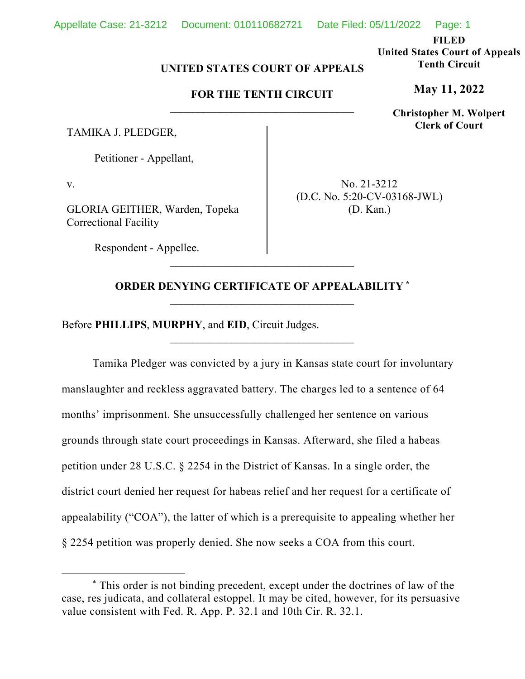**FILED United States Court of Appeals Tenth Circuit**

**May 11, 2022**

**Christopher M. Wolpert Clerk of Court**

## **UNITED STATES COURT OF APPEALS**

## **FOR THE TENTH CIRCUIT** \_\_\_\_\_\_\_\_\_\_\_\_\_\_\_\_\_\_\_\_\_\_\_\_\_\_\_\_\_\_\_\_\_

TAMIKA J. PLEDGER,

Petitioner - Appellant,

v.

GLORIA GEITHER, Warden, Topeka Correctional Facility

Respondent - Appellee.

No. 21-3212 (D.C. No. 5:20-CV-03168-JWL) (D. Kan.)

## **ORDER DENYING CERTIFICATE OF APPEALABILITY [\\*](#page-0-0)** \_\_\_\_\_\_\_\_\_\_\_\_\_\_\_\_\_\_\_\_\_\_\_\_\_\_\_\_\_\_\_\_\_

\_\_\_\_\_\_\_\_\_\_\_\_\_\_\_\_\_\_\_\_\_\_\_\_\_\_\_\_\_\_\_\_\_

\_\_\_\_\_\_\_\_\_\_\_\_\_\_\_\_\_\_\_\_\_\_\_\_\_\_\_\_\_\_\_\_\_

Before **PHILLIPS**, **MURPHY**, and **EID**, Circuit Judges.

Tamika Pledger was convicted by a jury in Kansas state court for involuntary manslaughter and reckless aggravated battery. The charges led to a sentence of 64 months' imprisonment. She unsuccessfully challenged her sentence on various grounds through state court proceedings in Kansas. Afterward, she filed a habeas petition under 28 U.S.C. § 2254 in the District of Kansas. In a single order, the district court denied her request for habeas relief and her request for a certificate of appealability ("COA"), the latter of which is a prerequisite to appealing whether her § 2254 petition was properly denied. She now seeks a COA from this court.

<span id="page-0-0"></span><sup>\*</sup> This order is not binding precedent, except under the doctrines of law of the case, res judicata, and collateral estoppel. It may be cited, however, for its persuasive value consistent with Fed. R. App. P. 32.1 and 10th Cir. R. 32.1.